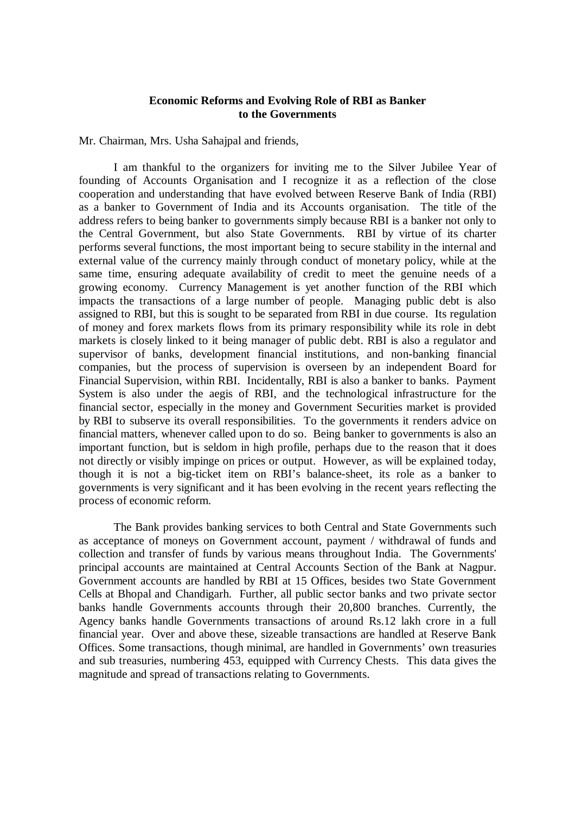## **Economic Reforms and Evolving Role of RBI as Banker to the Governments**

Mr. Chairman, Mrs. Usha Sahajpal and friends,

I am thankful to the organizers for inviting me to the Silver Jubilee Year of founding of Accounts Organisation and I recognize it as a reflection of the close cooperation and understanding that have evolved between Reserve Bank of India (RBI) as a banker to Government of India and its Accounts organisation. The title of the address refers to being banker to governments simply because RBI is a banker not only to the Central Government, but also State Governments. RBI by virtue of its charter performs several functions, the most important being to secure stability in the internal and external value of the currency mainly through conduct of monetary policy, while at the same time, ensuring adequate availability of credit to meet the genuine needs of a growing economy. Currency Management is yet another function of the RBI which impacts the transactions of a large number of people. Managing public debt is also assigned to RBI, but this is sought to be separated from RBI in due course. Its regulation of money and forex markets flows from its primary responsibility while its role in debt markets is closely linked to it being manager of public debt. RBI is also a regulator and supervisor of banks, development financial institutions, and non-banking financial companies, but the process of supervision is overseen by an independent Board for Financial Supervision, within RBI. Incidentally, RBI is also a banker to banks. Payment System is also under the aegis of RBI, and the technological infrastructure for the financial sector, especially in the money and Government Securities market is provided by RBI to subserve its overall responsibilities. To the governments it renders advice on financial matters, whenever called upon to do so. Being banker to governments is also an important function, but is seldom in high profile, perhaps due to the reason that it does not directly or visibly impinge on prices or output. However, as will be explained today, though it is not a big-ticket item on RBI's balance-sheet, its role as a banker to governments is very significant and it has been evolving in the recent years reflecting the process of economic reform.

The Bank provides banking services to both Central and State Governments such as acceptance of moneys on Government account, payment / withdrawal of funds and collection and transfer of funds by various means throughout India. The Governments' principal accounts are maintained at Central Accounts Section of the Bank at Nagpur. Government accounts are handled by RBI at 15 Offices, besides two State Government Cells at Bhopal and Chandigarh. Further, all public sector banks and two private sector banks handle Governments accounts through their 20,800 branches. Currently, the Agency banks handle Governments transactions of around Rs.12 lakh crore in a full financial year. Over and above these, sizeable transactions are handled at Reserve Bank Offices. Some transactions, though minimal, are handled in Governments' own treasuries and sub treasuries, numbering 453, equipped with Currency Chests. This data gives the magnitude and spread of transactions relating to Governments.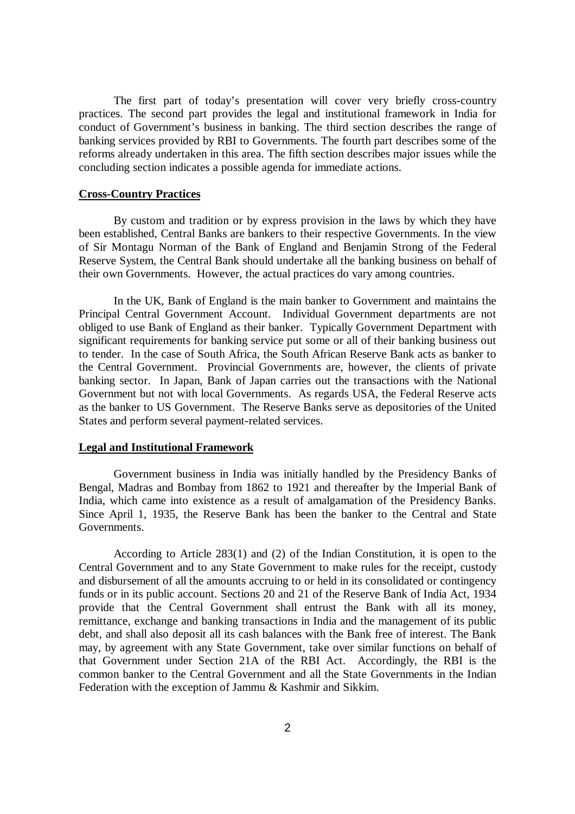The first part of today's presentation will cover very briefly cross-country practices. The second part provides the legal and institutional framework in India for conduct of Government's business in banking. The third section describes the range of banking services provided by RBI to Governments. The fourth part describes some of the reforms already undertaken in this area. The fifth section describes major issues while the concluding section indicates a possible agenda for immediate actions.

#### **Cross-Country Practices**

By custom and tradition or by express provision in the laws by which they have been established, Central Banks are bankers to their respective Governments. In the view of Sir Montagu Norman of the Bank of England and Benjamin Strong of the Federal Reserve System, the Central Bank should undertake all the banking business on behalf of their own Governments. However, the actual practices do vary among countries.

In the UK, Bank of England is the main banker to Government and maintains the Principal Central Government Account. Individual Government departments are not obliged to use Bank of England as their banker. Typically Government Department with significant requirements for banking service put some or all of their banking business out to tender. In the case of South Africa, the South African Reserve Bank acts as banker to the Central Government. Provincial Governments are, however, the clients of private banking sector. In Japan, Bank of Japan carries out the transactions with the National Government but not with local Governments. As regards USA, the Federal Reserve acts as the banker to US Government. The Reserve Banks serve as depositories of the United States and perform several payment-related services.

#### **Legal and Institutional Framework**

Government business in India was initially handled by the Presidency Banks of Bengal, Madras and Bombay from 1862 to 1921 and thereafter by the Imperial Bank of India, which came into existence as a result of amalgamation of the Presidency Banks. Since April 1, 1935, the Reserve Bank has been the banker to the Central and State Governments.

According to Article 283(1) and (2) of the Indian Constitution, it is open to the Central Government and to any State Government to make rules for the receipt, custody and disbursement of all the amounts accruing to or held in its consolidated or contingency funds or in its public account. Sections 20 and 21 of the Reserve Bank of India Act, 1934 provide that the Central Government shall entrust the Bank with all its money, remittance, exchange and banking transactions in India and the management of its public debt, and shall also deposit all its cash balances with the Bank free of interest. The Bank may, by agreement with any State Government, take over similar functions on behalf of that Government under Section 21A of the RBI Act. Accordingly, the RBI is the common banker to the Central Government and all the State Governments in the Indian Federation with the exception of Jammu & Kashmir and Sikkim.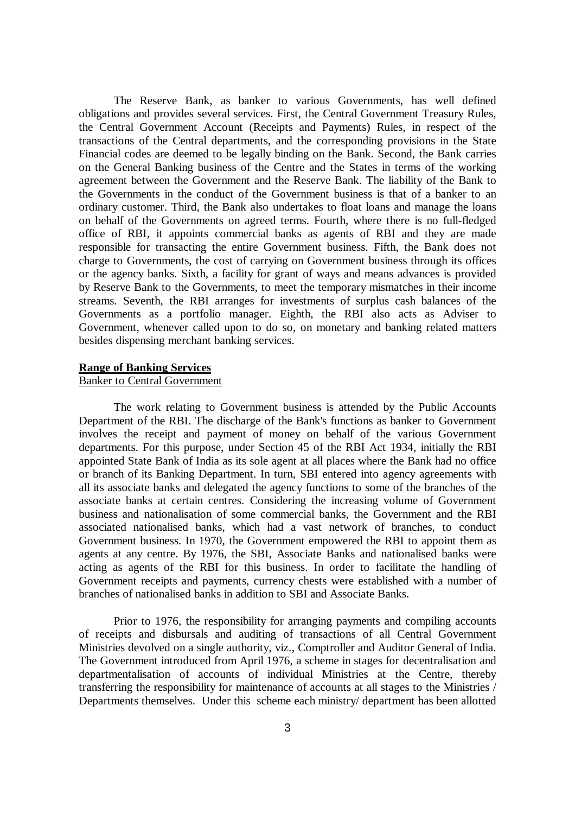The Reserve Bank, as banker to various Governments, has well defined obligations and provides several services. First, the Central Government Treasury Rules, the Central Government Account (Receipts and Payments) Rules, in respect of the transactions of the Central departments, and the corresponding provisions in the State Financial codes are deemed to be legally binding on the Bank. Second, the Bank carries on the General Banking business of the Centre and the States in terms of the working agreement between the Government and the Reserve Bank. The liability of the Bank to the Governments in the conduct of the Government business is that of a banker to an ordinary customer. Third, the Bank also undertakes to float loans and manage the loans on behalf of the Governments on agreed terms. Fourth, where there is no full-fledged office of RBI, it appoints commercial banks as agents of RBI and they are made responsible for transacting the entire Government business. Fifth, the Bank does not charge to Governments, the cost of carrying on Government business through its offices or the agency banks. Sixth, a facility for grant of ways and means advances is provided by Reserve Bank to the Governments, to meet the temporary mismatches in their income streams. Seventh, the RBI arranges for investments of surplus cash balances of the Governments as a portfolio manager. Eighth, the RBI also acts as Adviser to Government, whenever called upon to do so, on monetary and banking related matters besides dispensing merchant banking services.

#### **Range of Banking Services**

# Banker to Central Government

The work relating to Government business is attended by the Public Accounts Department of the RBI. The discharge of the Bank's functions as banker to Government involves the receipt and payment of money on behalf of the various Government departments. For this purpose, under Section 45 of the RBI Act 1934, initially the RBI appointed State Bank of India as its sole agent at all places where the Bank had no office or branch of its Banking Department. In turn, SBI entered into agency agreements with all its associate banks and delegated the agency functions to some of the branches of the associate banks at certain centres. Considering the increasing volume of Government business and nationalisation of some commercial banks, the Government and the RBI associated nationalised banks, which had a vast network of branches, to conduct Government business. In 1970, the Government empowered the RBI to appoint them as agents at any centre. By 1976, the SBI, Associate Banks and nationalised banks were acting as agents of the RBI for this business. In order to facilitate the handling of Government receipts and payments, currency chests were established with a number of branches of nationalised banks in addition to SBI and Associate Banks.

Prior to 1976, the responsibility for arranging payments and compiling accounts of receipts and disbursals and auditing of transactions of all Central Government Ministries devolved on a single authority, viz., Comptroller and Auditor General of India. The Government introduced from April 1976, a scheme in stages for decentralisation and departmentalisation of accounts of individual Ministries at the Centre, thereby transferring the responsibility for maintenance of accounts at all stages to the Ministries / Departments themselves. Under this scheme each ministry/ department has been allotted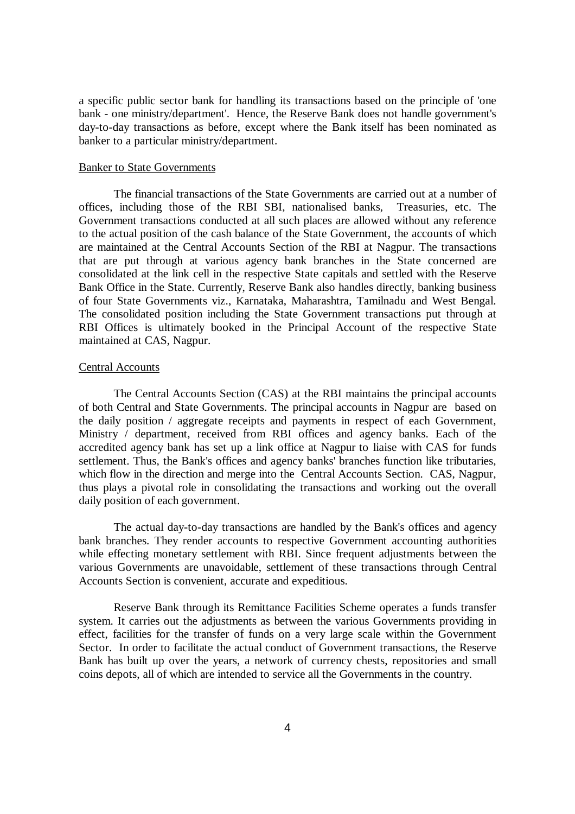a specific public sector bank for handling its transactions based on the principle of 'one bank - one ministry/department'. Hence, the Reserve Bank does not handle government's day-to-day transactions as before, except where the Bank itself has been nominated as banker to a particular ministry/department.

## Banker to State Governments

The financial transactions of the State Governments are carried out at a number of offices, including those of the RBI SBI, nationalised banks, Treasuries, etc. The Government transactions conducted at all such places are allowed without any reference to the actual position of the cash balance of the State Government, the accounts of which are maintained at the Central Accounts Section of the RBI at Nagpur. The transactions that are put through at various agency bank branches in the State concerned are consolidated at the link cell in the respective State capitals and settled with the Reserve Bank Office in the State. Currently, Reserve Bank also handles directly, banking business of four State Governments viz., Karnataka, Maharashtra, Tamilnadu and West Bengal. The consolidated position including the State Government transactions put through at RBI Offices is ultimately booked in the Principal Account of the respective State maintained at CAS, Nagpur.

#### Central Accounts

The Central Accounts Section (CAS) at the RBI maintains the principal accounts of both Central and State Governments. The principal accounts in Nagpur are based on the daily position / aggregate receipts and payments in respect of each Government, Ministry / department, received from RBI offices and agency banks. Each of the accredited agency bank has set up a link office at Nagpur to liaise with CAS for funds settlement. Thus, the Bank's offices and agency banks' branches function like tributaries, which flow in the direction and merge into the Central Accounts Section. CAS, Nagpur, thus plays a pivotal role in consolidating the transactions and working out the overall daily position of each government.

The actual day-to-day transactions are handled by the Bank's offices and agency bank branches. They render accounts to respective Government accounting authorities while effecting monetary settlement with RBI. Since frequent adjustments between the various Governments are unavoidable, settlement of these transactions through Central Accounts Section is convenient, accurate and expeditious.

Reserve Bank through its Remittance Facilities Scheme operates a funds transfer system. It carries out the adjustments as between the various Governments providing in effect, facilities for the transfer of funds on a very large scale within the Government Sector. In order to facilitate the actual conduct of Government transactions, the Reserve Bank has built up over the years, a network of currency chests, repositories and small coins depots, all of which are intended to service all the Governments in the country.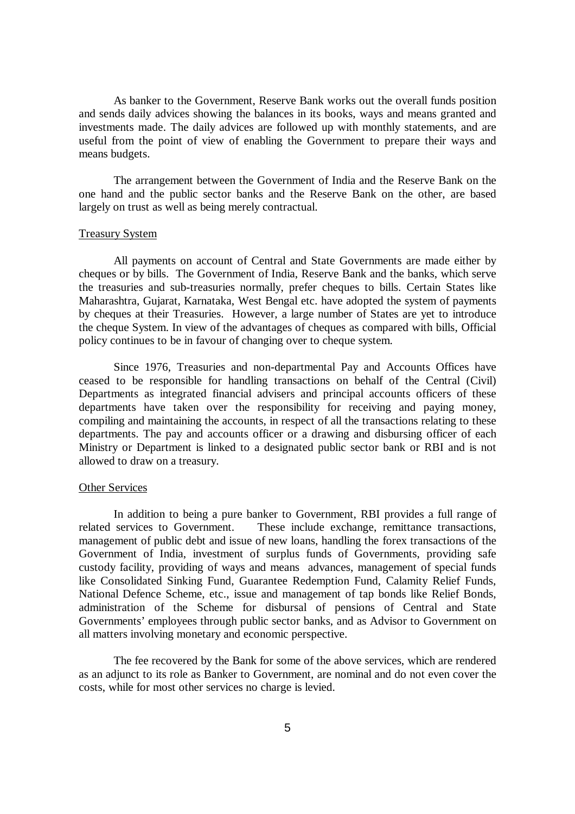As banker to the Government, Reserve Bank works out the overall funds position and sends daily advices showing the balances in its books, ways and means granted and investments made. The daily advices are followed up with monthly statements, and are useful from the point of view of enabling the Government to prepare their ways and means budgets.

The arrangement between the Government of India and the Reserve Bank on the one hand and the public sector banks and the Reserve Bank on the other, are based largely on trust as well as being merely contractual.

#### Treasury System

All payments on account of Central and State Governments are made either by cheques or by bills. The Government of India, Reserve Bank and the banks, which serve the treasuries and sub-treasuries normally, prefer cheques to bills. Certain States like Maharashtra, Gujarat, Karnataka, West Bengal etc. have adopted the system of payments by cheques at their Treasuries. However, a large number of States are yet to introduce the cheque System. In view of the advantages of cheques as compared with bills, Official policy continues to be in favour of changing over to cheque system.

Since 1976, Treasuries and non-departmental Pay and Accounts Offices have ceased to be responsible for handling transactions on behalf of the Central (Civil) Departments as integrated financial advisers and principal accounts officers of these departments have taken over the responsibility for receiving and paying money, compiling and maintaining the accounts, in respect of all the transactions relating to these departments. The pay and accounts officer or a drawing and disbursing officer of each Ministry or Department is linked to a designated public sector bank or RBI and is not allowed to draw on a treasury.

### Other Services

In addition to being a pure banker to Government, RBI provides a full range of related services to Government. These include exchange, remittance transactions, management of public debt and issue of new loans, handling the forex transactions of the Government of India, investment of surplus funds of Governments, providing safe custody facility, providing of ways and means advances, management of special funds like Consolidated Sinking Fund, Guarantee Redemption Fund, Calamity Relief Funds, National Defence Scheme, etc., issue and management of tap bonds like Relief Bonds, administration of the Scheme for disbursal of pensions of Central and State Governments' employees through public sector banks, and as Advisor to Government on all matters involving monetary and economic perspective.

The fee recovered by the Bank for some of the above services, which are rendered as an adjunct to its role as Banker to Government, are nominal and do not even cover the costs, while for most other services no charge is levied.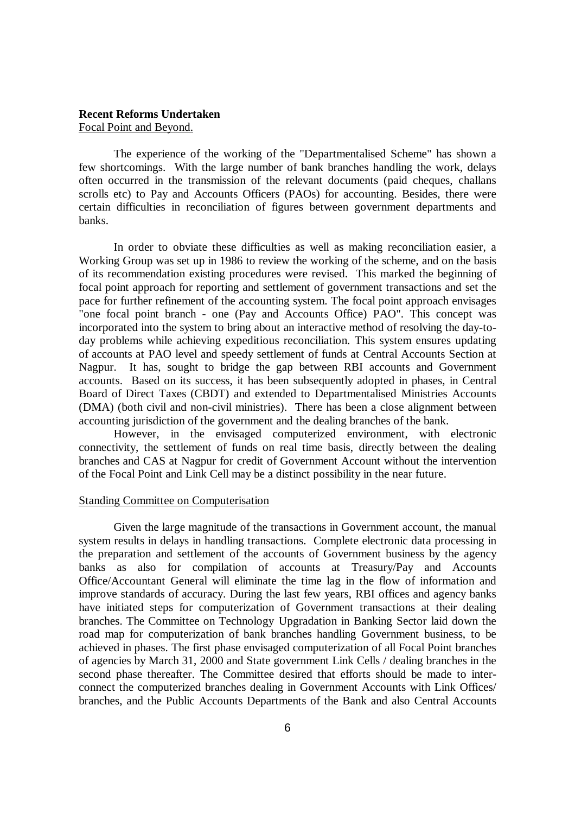## **Recent Reforms Undertaken** Focal Point and Beyond.

The experience of the working of the "Departmentalised Scheme" has shown a few shortcomings. With the large number of bank branches handling the work, delays often occurred in the transmission of the relevant documents (paid cheques, challans scrolls etc) to Pay and Accounts Officers (PAOs) for accounting. Besides, there were certain difficulties in reconciliation of figures between government departments and banks.

In order to obviate these difficulties as well as making reconciliation easier, a Working Group was set up in 1986 to review the working of the scheme, and on the basis of its recommendation existing procedures were revised. This marked the beginning of focal point approach for reporting and settlement of government transactions and set the pace for further refinement of the accounting system. The focal point approach envisages "one focal point branch - one (Pay and Accounts Office) PAO". This concept was incorporated into the system to bring about an interactive method of resolving the day-today problems while achieving expeditious reconciliation. This system ensures updating of accounts at PAO level and speedy settlement of funds at Central Accounts Section at Nagpur. It has, sought to bridge the gap between RBI accounts and Government accounts. Based on its success, it has been subsequently adopted in phases, in Central Board of Direct Taxes (CBDT) and extended to Departmentalised Ministries Accounts (DMA) (both civil and non-civil ministries). There has been a close alignment between accounting jurisdiction of the government and the dealing branches of the bank.

However, in the envisaged computerized environment, with electronic connectivity, the settlement of funds on real time basis, directly between the dealing branches and CAS at Nagpur for credit of Government Account without the intervention of the Focal Point and Link Cell may be a distinct possibility in the near future.

#### Standing Committee on Computerisation

Given the large magnitude of the transactions in Government account, the manual system results in delays in handling transactions. Complete electronic data processing in the preparation and settlement of the accounts of Government business by the agency banks as also for compilation of accounts at Treasury/Pay and Accounts Office/Accountant General will eliminate the time lag in the flow of information and improve standards of accuracy. During the last few years, RBI offices and agency banks have initiated steps for computerization of Government transactions at their dealing branches. The Committee on Technology Upgradation in Banking Sector laid down the road map for computerization of bank branches handling Government business, to be achieved in phases. The first phase envisaged computerization of all Focal Point branches of agencies by March 31, 2000 and State government Link Cells / dealing branches in the second phase thereafter. The Committee desired that efforts should be made to interconnect the computerized branches dealing in Government Accounts with Link Offices/ branches, and the Public Accounts Departments of the Bank and also Central Accounts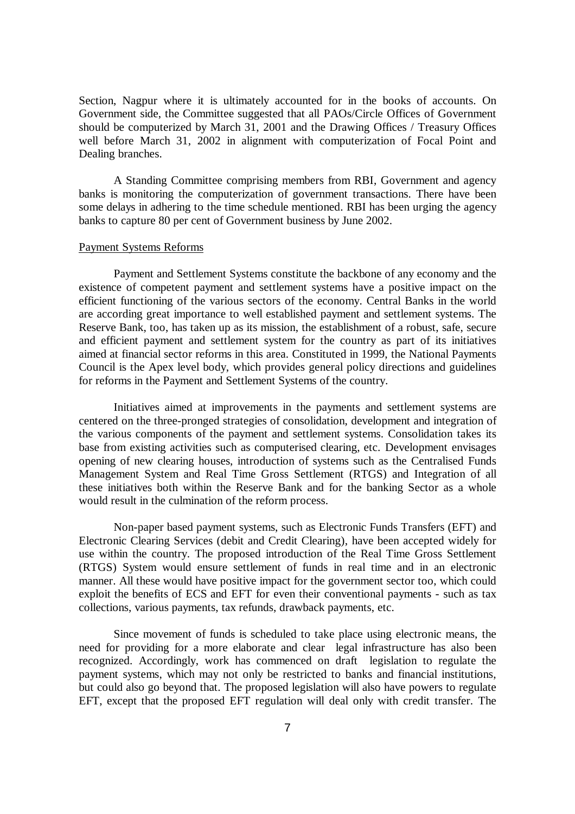Section, Nagpur where it is ultimately accounted for in the books of accounts. On Government side, the Committee suggested that all PAOs/Circle Offices of Government should be computerized by March 31, 2001 and the Drawing Offices / Treasury Offices well before March 31, 2002 in alignment with computerization of Focal Point and Dealing branches.

A Standing Committee comprising members from RBI, Government and agency banks is monitoring the computerization of government transactions. There have been some delays in adhering to the time schedule mentioned. RBI has been urging the agency banks to capture 80 per cent of Government business by June 2002.

#### Payment Systems Reforms

Payment and Settlement Systems constitute the backbone of any economy and the existence of competent payment and settlement systems have a positive impact on the efficient functioning of the various sectors of the economy. Central Banks in the world are according great importance to well established payment and settlement systems. The Reserve Bank, too, has taken up as its mission, the establishment of a robust, safe, secure and efficient payment and settlement system for the country as part of its initiatives aimed at financial sector reforms in this area. Constituted in 1999, the National Payments Council is the Apex level body, which provides general policy directions and guidelines for reforms in the Payment and Settlement Systems of the country.

Initiatives aimed at improvements in the payments and settlement systems are centered on the three-pronged strategies of consolidation, development and integration of the various components of the payment and settlement systems. Consolidation takes its base from existing activities such as computerised clearing, etc. Development envisages opening of new clearing houses, introduction of systems such as the Centralised Funds Management System and Real Time Gross Settlement (RTGS) and Integration of all these initiatives both within the Reserve Bank and for the banking Sector as a whole would result in the culmination of the reform process.

Non-paper based payment systems, such as Electronic Funds Transfers (EFT) and Electronic Clearing Services (debit and Credit Clearing), have been accepted widely for use within the country. The proposed introduction of the Real Time Gross Settlement (RTGS) System would ensure settlement of funds in real time and in an electronic manner. All these would have positive impact for the government sector too, which could exploit the benefits of ECS and EFT for even their conventional payments - such as tax collections, various payments, tax refunds, drawback payments, etc.

Since movement of funds is scheduled to take place using electronic means, the need for providing for a more elaborate and clear legal infrastructure has also been recognized. Accordingly, work has commenced on draft legislation to regulate the payment systems, which may not only be restricted to banks and financial institutions, but could also go beyond that. The proposed legislation will also have powers to regulate EFT, except that the proposed EFT regulation will deal only with credit transfer. The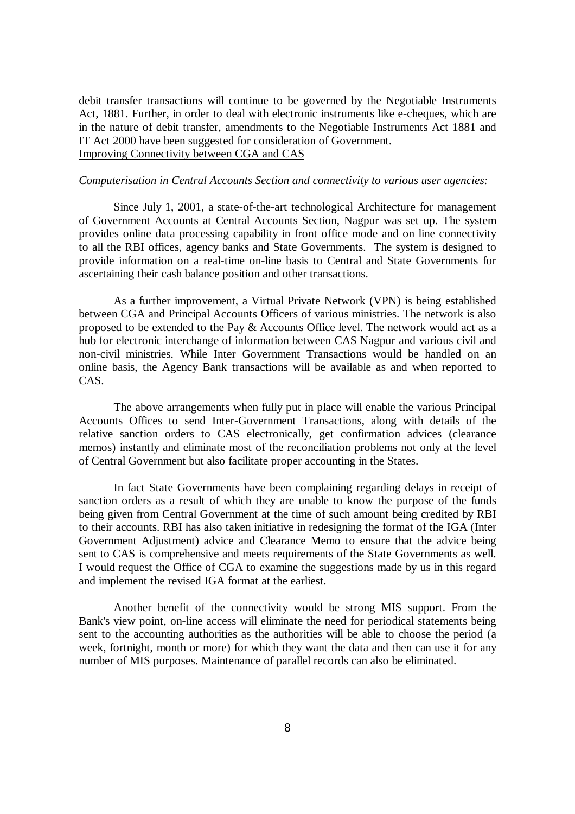debit transfer transactions will continue to be governed by the Negotiable Instruments Act, 1881. Further, in order to deal with electronic instruments like e-cheques, which are in the nature of debit transfer, amendments to the Negotiable Instruments Act 1881 and IT Act 2000 have been suggested for consideration of Government. Improving Connectivity between CGA and CAS

### *Computerisation in Central Accounts Section and connectivity to various user agencies:*

Since July 1, 2001, a state-of-the-art technological Architecture for management of Government Accounts at Central Accounts Section, Nagpur was set up. The system provides online data processing capability in front office mode and on line connectivity to all the RBI offices, agency banks and State Governments. The system is designed to provide information on a real-time on-line basis to Central and State Governments for ascertaining their cash balance position and other transactions.

As a further improvement, a Virtual Private Network (VPN) is being established between CGA and Principal Accounts Officers of various ministries. The network is also proposed to be extended to the Pay & Accounts Office level. The network would act as a hub for electronic interchange of information between CAS Nagpur and various civil and non-civil ministries. While Inter Government Transactions would be handled on an online basis, the Agency Bank transactions will be available as and when reported to CAS.

The above arrangements when fully put in place will enable the various Principal Accounts Offices to send Inter-Government Transactions, along with details of the relative sanction orders to CAS electronically, get confirmation advices (clearance memos) instantly and eliminate most of the reconciliation problems not only at the level of Central Government but also facilitate proper accounting in the States.

In fact State Governments have been complaining regarding delays in receipt of sanction orders as a result of which they are unable to know the purpose of the funds being given from Central Government at the time of such amount being credited by RBI to their accounts. RBI has also taken initiative in redesigning the format of the IGA (Inter Government Adjustment) advice and Clearance Memo to ensure that the advice being sent to CAS is comprehensive and meets requirements of the State Governments as well. I would request the Office of CGA to examine the suggestions made by us in this regard and implement the revised IGA format at the earliest.

Another benefit of the connectivity would be strong MIS support. From the Bank's view point, on-line access will eliminate the need for periodical statements being sent to the accounting authorities as the authorities will be able to choose the period (a week, fortnight, month or more) for which they want the data and then can use it for any number of MIS purposes. Maintenance of parallel records can also be eliminated.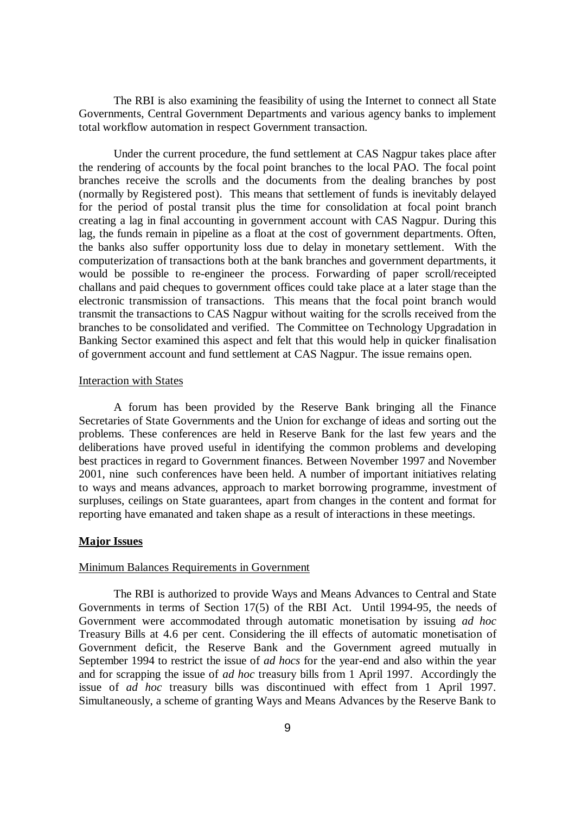The RBI is also examining the feasibility of using the Internet to connect all State Governments, Central Government Departments and various agency banks to implement total workflow automation in respect Government transaction.

Under the current procedure, the fund settlement at CAS Nagpur takes place after the rendering of accounts by the focal point branches to the local PAO. The focal point branches receive the scrolls and the documents from the dealing branches by post (normally by Registered post). This means that settlement of funds is inevitably delayed for the period of postal transit plus the time for consolidation at focal point branch creating a lag in final accounting in government account with CAS Nagpur. During this lag, the funds remain in pipeline as a float at the cost of government departments. Often, the banks also suffer opportunity loss due to delay in monetary settlement. With the computerization of transactions both at the bank branches and government departments, it would be possible to re-engineer the process. Forwarding of paper scroll/receipted challans and paid cheques to government offices could take place at a later stage than the electronic transmission of transactions. This means that the focal point branch would transmit the transactions to CAS Nagpur without waiting for the scrolls received from the branches to be consolidated and verified. The Committee on Technology Upgradation in Banking Sector examined this aspect and felt that this would help in quicker finalisation of government account and fund settlement at CAS Nagpur. The issue remains open.

## Interaction with States

A forum has been provided by the Reserve Bank bringing all the Finance Secretaries of State Governments and the Union for exchange of ideas and sorting out the problems. These conferences are held in Reserve Bank for the last few years and the deliberations have proved useful in identifying the common problems and developing best practices in regard to Government finances. Between November 1997 and November 2001, nine such conferences have been held. A number of important initiatives relating to ways and means advances, approach to market borrowing programme, investment of surpluses, ceilings on State guarantees, apart from changes in the content and format for reporting have emanated and taken shape as a result of interactions in these meetings.

### **Major Issues**

### Minimum Balances Requirements in Government

The RBI is authorized to provide Ways and Means Advances to Central and State Governments in terms of Section 17(5) of the RBI Act. Until 1994-95, the needs of Government were accommodated through automatic monetisation by issuing *ad hoc* Treasury Bills at 4.6 per cent. Considering the ill effects of automatic monetisation of Government deficit, the Reserve Bank and the Government agreed mutually in September 1994 to restrict the issue of *ad hocs* for the year-end and also within the year and for scrapping the issue of *ad hoc* treasury bills from 1 April 1997. Accordingly the issue of *ad hoc* treasury bills was discontinued with effect from 1 April 1997. Simultaneously, a scheme of granting Ways and Means Advances by the Reserve Bank to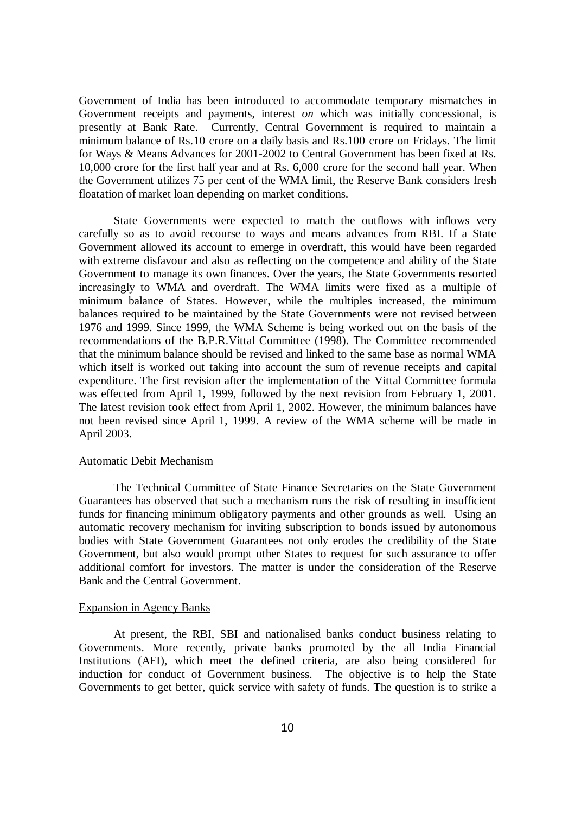Government of India has been introduced to accommodate temporary mismatches in Government receipts and payments, interest *on* which was initially concessional, is presently at Bank Rate. Currently, Central Government is required to maintain a minimum balance of Rs.10 crore on a daily basis and Rs.100 crore on Fridays. The limit for Ways & Means Advances for 2001-2002 to Central Government has been fixed at Rs. 10,000 crore for the first half year and at Rs. 6,000 crore for the second half year. When the Government utilizes 75 per cent of the WMA limit, the Reserve Bank considers fresh floatation of market loan depending on market conditions.

State Governments were expected to match the outflows with inflows very carefully so as to avoid recourse to ways and means advances from RBI. If a State Government allowed its account to emerge in overdraft, this would have been regarded with extreme disfavour and also as reflecting on the competence and ability of the State Government to manage its own finances. Over the years, the State Governments resorted increasingly to WMA and overdraft. The WMA limits were fixed as a multiple of minimum balance of States. However, while the multiples increased, the minimum balances required to be maintained by the State Governments were not revised between 1976 and 1999. Since 1999, the WMA Scheme is being worked out on the basis of the recommendations of the B.P.R.Vittal Committee (1998). The Committee recommended that the minimum balance should be revised and linked to the same base as normal WMA which itself is worked out taking into account the sum of revenue receipts and capital expenditure. The first revision after the implementation of the Vittal Committee formula was effected from April 1, 1999, followed by the next revision from February 1, 2001. The latest revision took effect from April 1, 2002. However, the minimum balances have not been revised since April 1, 1999. A review of the WMA scheme will be made in April 2003.

### Automatic Debit Mechanism

The Technical Committee of State Finance Secretaries on the State Government Guarantees has observed that such a mechanism runs the risk of resulting in insufficient funds for financing minimum obligatory payments and other grounds as well. Using an automatic recovery mechanism for inviting subscription to bonds issued by autonomous bodies with State Government Guarantees not only erodes the credibility of the State Government, but also would prompt other States to request for such assurance to offer additional comfort for investors. The matter is under the consideration of the Reserve Bank and the Central Government.

### Expansion in Agency Banks

At present, the RBI, SBI and nationalised banks conduct business relating to Governments. More recently, private banks promoted by the all India Financial Institutions (AFI), which meet the defined criteria, are also being considered for induction for conduct of Government business. The objective is to help the State Governments to get better, quick service with safety of funds. The question is to strike a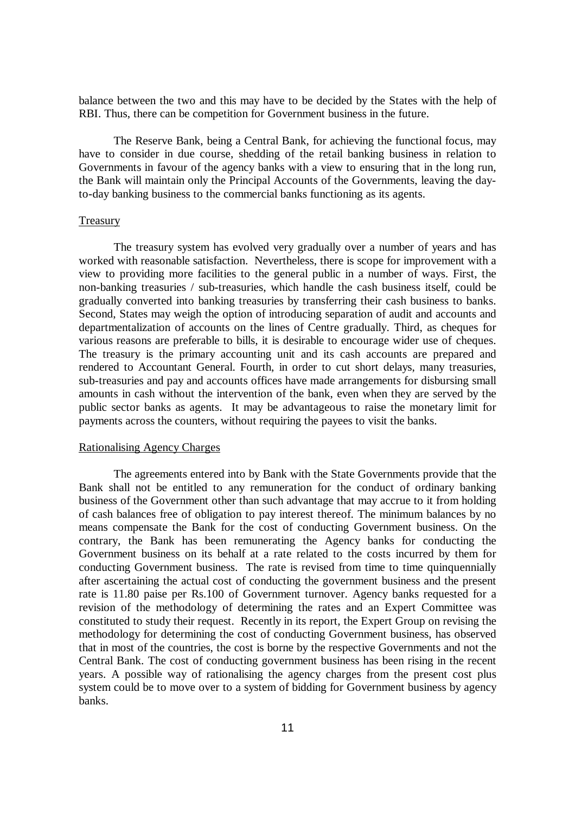balance between the two and this may have to be decided by the States with the help of RBI. Thus, there can be competition for Government business in the future.

The Reserve Bank, being a Central Bank, for achieving the functional focus, may have to consider in due course, shedding of the retail banking business in relation to Governments in favour of the agency banks with a view to ensuring that in the long run, the Bank will maintain only the Principal Accounts of the Governments, leaving the dayto-day banking business to the commercial banks functioning as its agents.

## **Treasury**

The treasury system has evolved very gradually over a number of years and has worked with reasonable satisfaction. Nevertheless, there is scope for improvement with a view to providing more facilities to the general public in a number of ways. First, the non-banking treasuries / sub-treasuries, which handle the cash business itself, could be gradually converted into banking treasuries by transferring their cash business to banks. Second, States may weigh the option of introducing separation of audit and accounts and departmentalization of accounts on the lines of Centre gradually. Third, as cheques for various reasons are preferable to bills, it is desirable to encourage wider use of cheques. The treasury is the primary accounting unit and its cash accounts are prepared and rendered to Accountant General. Fourth, in order to cut short delays, many treasuries, sub-treasuries and pay and accounts offices have made arrangements for disbursing small amounts in cash without the intervention of the bank, even when they are served by the public sector banks as agents. It may be advantageous to raise the monetary limit for payments across the counters, without requiring the payees to visit the banks.

#### Rationalising Agency Charges

The agreements entered into by Bank with the State Governments provide that the Bank shall not be entitled to any remuneration for the conduct of ordinary banking business of the Government other than such advantage that may accrue to it from holding of cash balances free of obligation to pay interest thereof. The minimum balances by no means compensate the Bank for the cost of conducting Government business. On the contrary, the Bank has been remunerating the Agency banks for conducting the Government business on its behalf at a rate related to the costs incurred by them for conducting Government business. The rate is revised from time to time quinquennially after ascertaining the actual cost of conducting the government business and the present rate is 11.80 paise per Rs.100 of Government turnover. Agency banks requested for a revision of the methodology of determining the rates and an Expert Committee was constituted to study their request. Recently in its report, the Expert Group on revising the methodology for determining the cost of conducting Government business, has observed that in most of the countries, the cost is borne by the respective Governments and not the Central Bank. The cost of conducting government business has been rising in the recent years. A possible way of rationalising the agency charges from the present cost plus system could be to move over to a system of bidding for Government business by agency banks.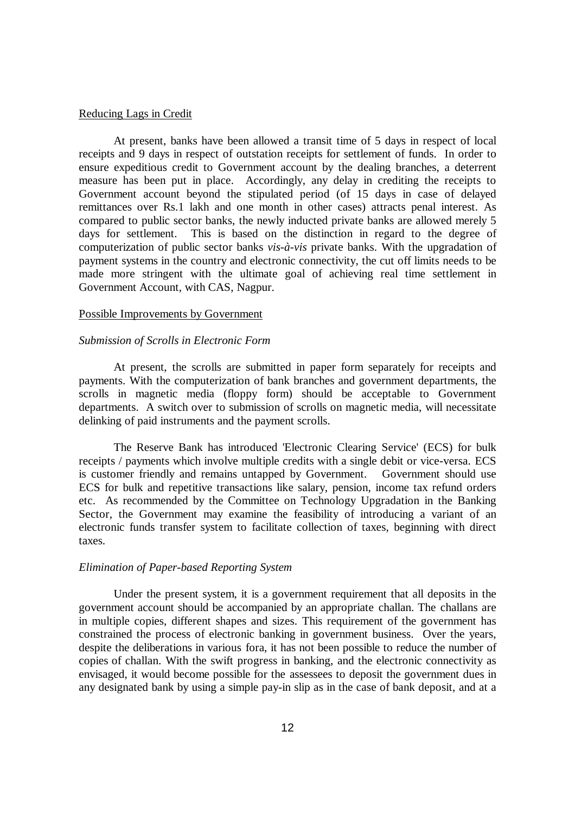### Reducing Lags in Credit

At present, banks have been allowed a transit time of 5 days in respect of local receipts and 9 days in respect of outstation receipts for settlement of funds. In order to ensure expeditious credit to Government account by the dealing branches, a deterrent measure has been put in place. Accordingly, any delay in crediting the receipts to Government account beyond the stipulated period (of 15 days in case of delayed remittances over Rs.1 lakh and one month in other cases) attracts penal interest. As compared to public sector banks, the newly inducted private banks are allowed merely 5 days for settlement. This is based on the distinction in regard to the degree of computerization of public sector banks *vis-à-vis* private banks. With the upgradation of payment systems in the country and electronic connectivity, the cut off limits needs to be made more stringent with the ultimate goal of achieving real time settlement in Government Account, with CAS, Nagpur.

#### Possible Improvements by Government

#### *Submission of Scrolls in Electronic Form*

At present, the scrolls are submitted in paper form separately for receipts and payments. With the computerization of bank branches and government departments, the scrolls in magnetic media (floppy form) should be acceptable to Government departments. A switch over to submission of scrolls on magnetic media, will necessitate delinking of paid instruments and the payment scrolls.

The Reserve Bank has introduced 'Electronic Clearing Service' (ECS) for bulk receipts / payments which involve multiple credits with a single debit or vice-versa. ECS is customer friendly and remains untapped by Government. Government should use ECS for bulk and repetitive transactions like salary, pension, income tax refund orders etc. As recommended by the Committee on Technology Upgradation in the Banking Sector, the Government may examine the feasibility of introducing a variant of an electronic funds transfer system to facilitate collection of taxes, beginning with direct taxes.

### *Elimination of Paper-based Reporting System*

Under the present system, it is a government requirement that all deposits in the government account should be accompanied by an appropriate challan. The challans are in multiple copies, different shapes and sizes. This requirement of the government has constrained the process of electronic banking in government business. Over the years, despite the deliberations in various fora, it has not been possible to reduce the number of copies of challan. With the swift progress in banking, and the electronic connectivity as envisaged, it would become possible for the assessees to deposit the government dues in any designated bank by using a simple pay-in slip as in the case of bank deposit, and at a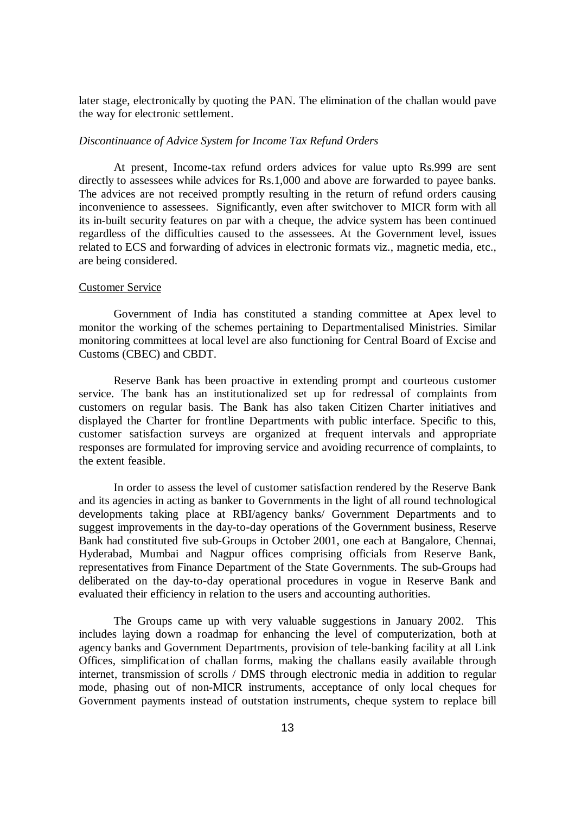later stage, electronically by quoting the PAN. The elimination of the challan would pave the way for electronic settlement.

#### *Discontinuance of Advice System for Income Tax Refund Orders*

At present, Income-tax refund orders advices for value upto Rs.999 are sent directly to assessees while advices for Rs.1,000 and above are forwarded to payee banks. The advices are not received promptly resulting in the return of refund orders causing inconvenience to assessees. Significantly, even after switchover to MICR form with all its in-built security features on par with a cheque, the advice system has been continued regardless of the difficulties caused to the assessees. At the Government level, issues related to ECS and forwarding of advices in electronic formats viz., magnetic media, etc., are being considered.

#### Customer Service

Government of India has constituted a standing committee at Apex level to monitor the working of the schemes pertaining to Departmentalised Ministries. Similar monitoring committees at local level are also functioning for Central Board of Excise and Customs (CBEC) and CBDT.

Reserve Bank has been proactive in extending prompt and courteous customer service. The bank has an institutionalized set up for redressal of complaints from customers on regular basis. The Bank has also taken Citizen Charter initiatives and displayed the Charter for frontline Departments with public interface. Specific to this, customer satisfaction surveys are organized at frequent intervals and appropriate responses are formulated for improving service and avoiding recurrence of complaints, to the extent feasible.

In order to assess the level of customer satisfaction rendered by the Reserve Bank and its agencies in acting as banker to Governments in the light of all round technological developments taking place at RBI/agency banks/ Government Departments and to suggest improvements in the day-to-day operations of the Government business, Reserve Bank had constituted five sub-Groups in October 2001, one each at Bangalore, Chennai, Hyderabad, Mumbai and Nagpur offices comprising officials from Reserve Bank, representatives from Finance Department of the State Governments. The sub-Groups had deliberated on the day-to-day operational procedures in vogue in Reserve Bank and evaluated their efficiency in relation to the users and accounting authorities.

The Groups came up with very valuable suggestions in January 2002. This includes laying down a roadmap for enhancing the level of computerization, both at agency banks and Government Departments, provision of tele-banking facility at all Link Offices, simplification of challan forms, making the challans easily available through internet, transmission of scrolls / DMS through electronic media in addition to regular mode, phasing out of non-MICR instruments, acceptance of only local cheques for Government payments instead of outstation instruments, cheque system to replace bill